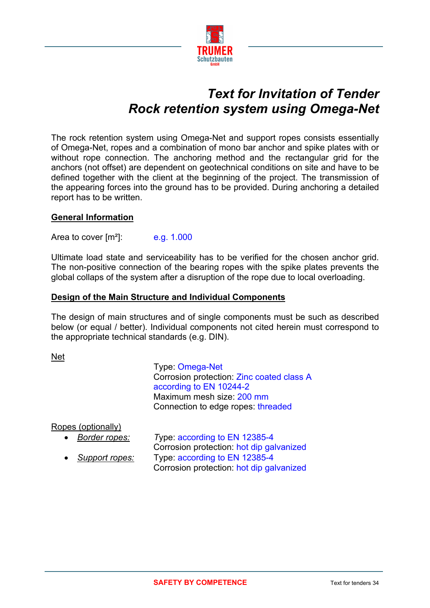

# *Text for Invitation of Tender Rock retention system using Omega-Net*

The rock retention system using Omega-Net and support ropes consists essentially of Omega-Net, ropes and a combination of mono bar anchor and spike plates with or without rope connection. The anchoring method and the rectangular grid for the anchors (not offset) are dependent on geotechnical conditions on site and have to be defined together with the client at the beginning of the project. The transmission of the appearing forces into the ground has to be provided. During anchoring a detailed report has to be written.

# **General Information**

Area to cover  $\text{[m}^2$ : e.g. 1.000

Ultimate load state and serviceability has to be verified for the chosen anchor grid. The non-positive connection of the bearing ropes with the spike plates prevents the global collaps of the system after a disruption of the rope due to local overloading.

### **Design of the Main Structure and Individual Components**

The design of main structures and of single components must be such as described below (or equal / better). Individual components not cited herein must correspond to the appropriate technical standards (e.g. DIN).

Net

Type: Omega-Net Corrosion protection: Zinc coated class A according to EN 10244-2 Maximum mesh size: 200 mm Connection to edge ropes: threaded

Ropes (optionally)

| Border ropes:  | Type: according to EN 12385-4            |
|----------------|------------------------------------------|
|                | Corrosion protection: hot dip galvanized |
| Support ropes: | Type: according to EN 12385-4            |
|                | Corrosion protection: hot dip galvanized |